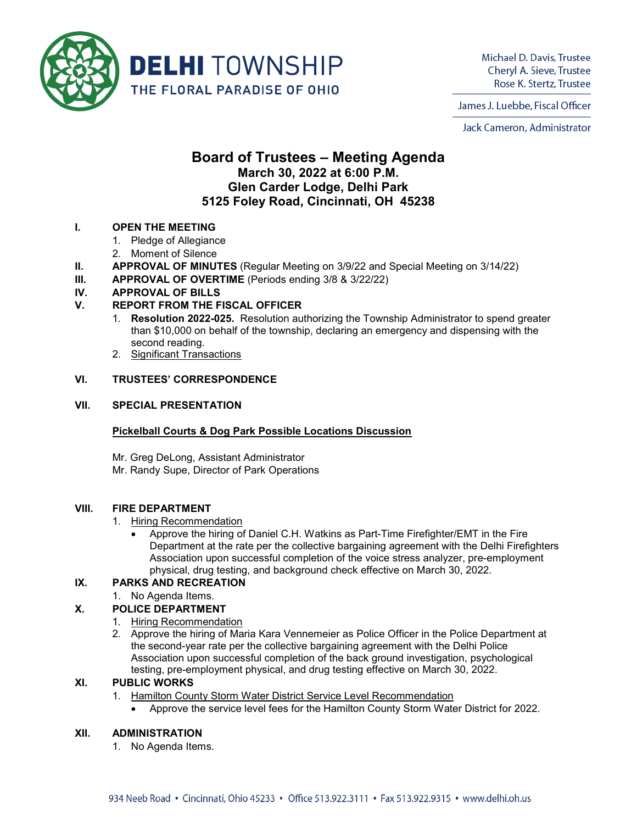

Michael D. Davis, Trustee Cheryl A. Sieve, Trustee Rose K. Stertz, Trustee

James J. Luebbe, Fiscal Officer

Jack Cameron, Administrator

# **Board of Trustees – Meeting Agenda March 30, 2022 at 6:00 P.M. Glen Carder Lodge, Delhi Park 5125 Foley Road, Cincinnati, OH 45238**

# **I. OPEN THE MEETING**

- 1. Pledge of Allegiance
- 2. Moment of Silence
- **II. APPROVAL OF MINUTES** (Regular Meeting on 3/9/22 and Special Meeting on 3/14/22)
- **III. APPROVAL OF OVERTIME** (Periods ending 3/8 & 3/22/22)

# **IV. APPROVAL OF BILLS**

# **V. REPORT FROM THE FISCAL OFFICER**

- 1. **Resolution 2022-025.** Resolution authorizing the Township Administrator to spend greater than \$10,000 on behalf of the township, declaring an emergency and dispensing with the second reading.
- 2. Significant Transactions

#### **VI. TRUSTEES' CORRESPONDENCE**

#### **VII. SPECIAL PRESENTATION**

# **Pickelball Courts & Dog Park Possible Locations Discussion**

Mr. Greg DeLong, Assistant Administrator Mr. Randy Supe, Director of Park Operations

#### **VIII. FIRE DEPARTMENT**

#### 1. Hiring Recommendation

• Approve the hiring of Daniel C.H. Watkins as Part-Time Firefighter/EMT in the Fire Department at the rate per the collective bargaining agreement with the Delhi Firefighters Association upon successful completion of the voice stress analyzer, pre-employment physical, drug testing, and background check effective on March 30, 2022.

# **IX. PARKS AND RECREATION**

1. No Agenda Items.

# **X. POLICE DEPARTMENT**

- 1. Hiring Recommendation
- 2. Approve the hiring of Maria Kara Vennemeier as Police Officer in the Police Department at the second-year rate per the collective bargaining agreement with the Delhi Police Association upon successful completion of the back ground investigation, psychological testing, pre-employment physical, and drug testing effective on March 30, 2022.

# **XI. PUBLIC WORKS**

- 1. Hamilton County Storm Water District Service Level Recommendation
	- Approve the service level fees for the Hamilton County Storm Water District for 2022.

#### **XII. ADMINISTRATION**

1. No Agenda Items.